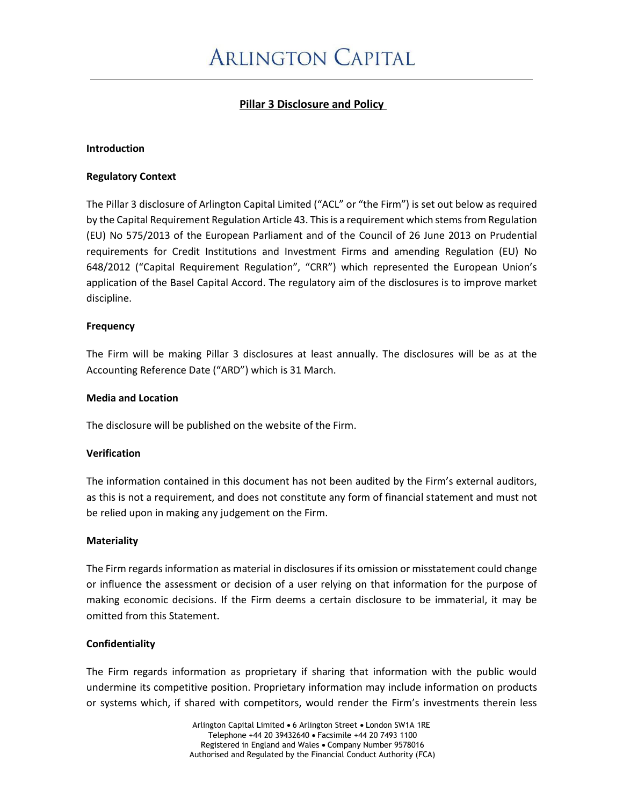# **Pillar 3 Disclosure and Policy**

#### **Introduction**

#### **Regulatory Context**

The Pillar 3 disclosure of Arlington Capital Limited ("ACL" or "the Firm") is set out below as required by the Capital Requirement Regulation Article 43. This is a requirement which stems from Regulation (EU) No 575/2013 of the European Parliament and of the Council of 26 June 2013 on Prudential requirements for Credit Institutions and Investment Firms and amending Regulation (EU) No 648/2012 ("Capital Requirement Regulation", "CRR") which represented the European Union's application of the Basel Capital Accord. The regulatory aim of the disclosures is to improve market discipline.

#### **Frequency**

The Firm will be making Pillar 3 disclosures at least annually. The disclosures will be as at the Accounting Reference Date ("ARD") which is 31 March.

#### **Media and Location**

The disclosure will be published on the website of the Firm.

#### **Verification**

The information contained in this document has not been audited by the Firm's external auditors, as this is not a requirement, and does not constitute any form of financial statement and must not be relied upon in making any judgement on the Firm.

#### **Materiality**

The Firm regards information as material in disclosures if its omission or misstatement could change or influence the assessment or decision of a user relying on that information for the purpose of making economic decisions. If the Firm deems a certain disclosure to be immaterial, it may be omitted from this Statement.

# **Confidentiality**

The Firm regards information as proprietary if sharing that information with the public would undermine its competitive position. Proprietary information may include information on products or systems which, if shared with competitors, would render the Firm's investments therein less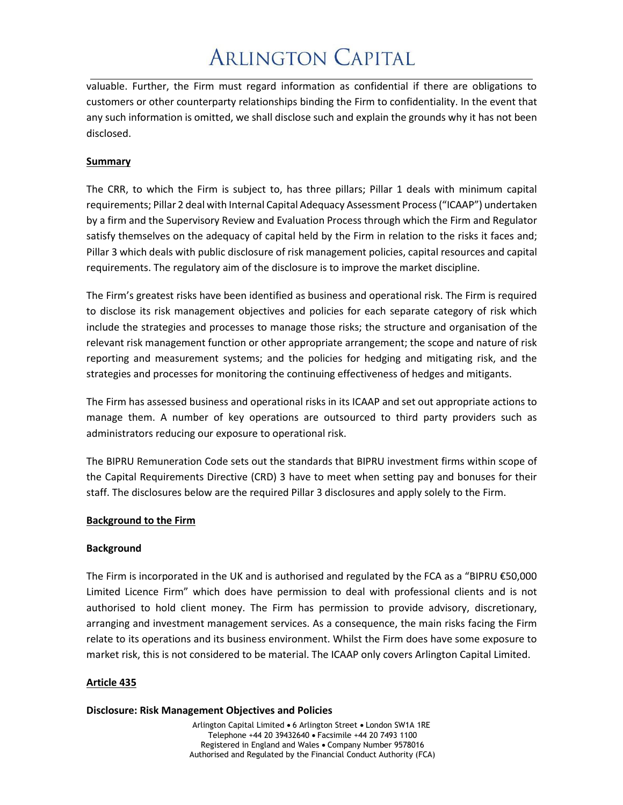# **ARLINGTON CAPITAL**

valuable. Further, the Firm must regard information as confidential if there are obligations to customers or other counterparty relationships binding the Firm to confidentiality. In the event that any such information is omitted, we shall disclose such and explain the grounds why it has not been disclosed.

# **Summary**

The CRR, to which the Firm is subject to, has three pillars; Pillar 1 deals with minimum capital requirements; Pillar 2 deal with Internal Capital Adequacy Assessment Process ("ICAAP") undertaken by a firm and the Supervisory Review and Evaluation Process through which the Firm and Regulator satisfy themselves on the adequacy of capital held by the Firm in relation to the risks it faces and; Pillar 3 which deals with public disclosure of risk management policies, capital resources and capital requirements. The regulatory aim of the disclosure is to improve the market discipline.

The Firm's greatest risks have been identified as business and operational risk. The Firm is required to disclose its risk management objectives and policies for each separate category of risk which include the strategies and processes to manage those risks; the structure and organisation of the relevant risk management function or other appropriate arrangement; the scope and nature of risk reporting and measurement systems; and the policies for hedging and mitigating risk, and the strategies and processes for monitoring the continuing effectiveness of hedges and mitigants.

The Firm has assessed business and operational risks in its ICAAP and set out appropriate actions to manage them. A number of key operations are outsourced to third party providers such as administrators reducing our exposure to operational risk.

The BIPRU Remuneration Code sets out the standards that BIPRU investment firms within scope of the Capital Requirements Directive (CRD) 3 have to meet when setting pay and bonuses for their staff. The disclosures below are the required Pillar 3 disclosures and apply solely to the Firm.

# **Background to the Firm**

# **Background**

The Firm is incorporated in the UK and is authorised and regulated by the FCA as a "BIPRU €50,000 Limited Licence Firm" which does have permission to deal with professional clients and is not authorised to hold client money. The Firm has permission to provide advisory, discretionary, arranging and investment management services. As a consequence, the main risks facing the Firm relate to its operations and its business environment. Whilst the Firm does have some exposure to market risk, this is not considered to be material. The ICAAP only covers Arlington Capital Limited.

# **Article 435**

#### **Disclosure: Risk Management Objectives and Policies**

Arlington Capital Limited • 6 Arlington Street • London SW1A 1RE Telephone +44 20 39432640 • Facsimile +44 20 7493 1100 Registered in England and Wales • Company Number 9578016 Authorised and Regulated by the Financial Conduct Authority (FCA)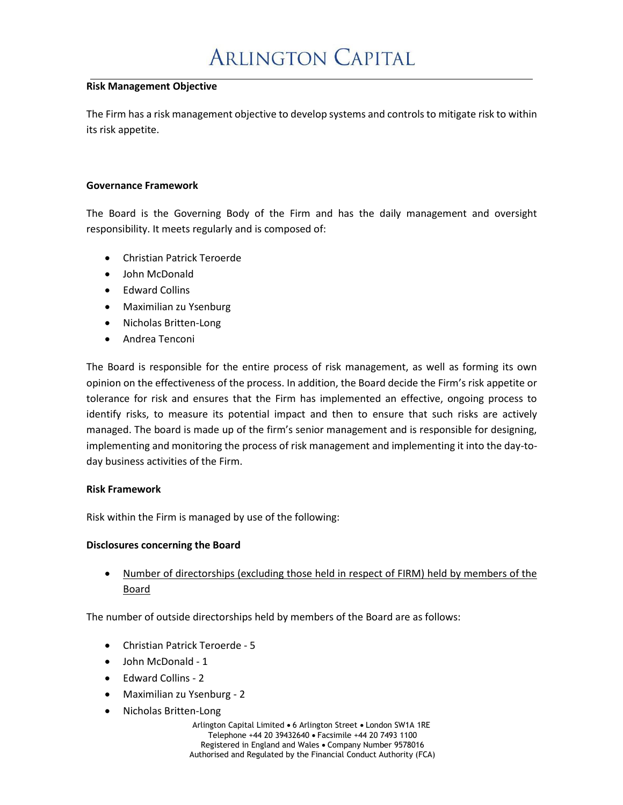# **ARLINGTON CAPITAL**

#### **Risk Management Objective**

The Firm has a risk management objective to develop systems and controls to mitigate risk to within its risk appetite.

#### **Governance Framework**

The Board is the Governing Body of the Firm and has the daily management and oversight responsibility. It meets regularly and is composed of:

- Christian Patrick Teroerde
- John McDonald
- Edward Collins
- Maximilian zu Ysenburg
- Nicholas Britten-Long
- Andrea Tenconi

The Board is responsible for the entire process of risk management, as well as forming its own opinion on the effectiveness of the process. In addition, the Board decide the Firm's risk appetite or tolerance for risk and ensures that the Firm has implemented an effective, ongoing process to identify risks, to measure its potential impact and then to ensure that such risks are actively managed. The board is made up of the firm's senior management and is responsible for designing, implementing and monitoring the process of risk management and implementing it into the day-today business activities of the Firm.

# **Risk Framework**

Risk within the Firm is managed by use of the following:

# **Disclosures concerning the Board**

• Number of directorships (excluding those held in respect of FIRM) held by members of the Board

The number of outside directorships held by members of the Board are as follows:

- Christian Patrick Teroerde 5
- John McDonald 1
- Edward Collins 2
- Maximilian zu Ysenburg 2
- Nicholas Britten-Long

Arlington Capital Limited • 6 Arlington Street • London SW1A 1RE Telephone +44 20 39432640 • Facsimile +44 20 7493 1100 Registered in England and Wales • Company Number 9578016 Authorised and Regulated by the Financial Conduct Authority (FCA)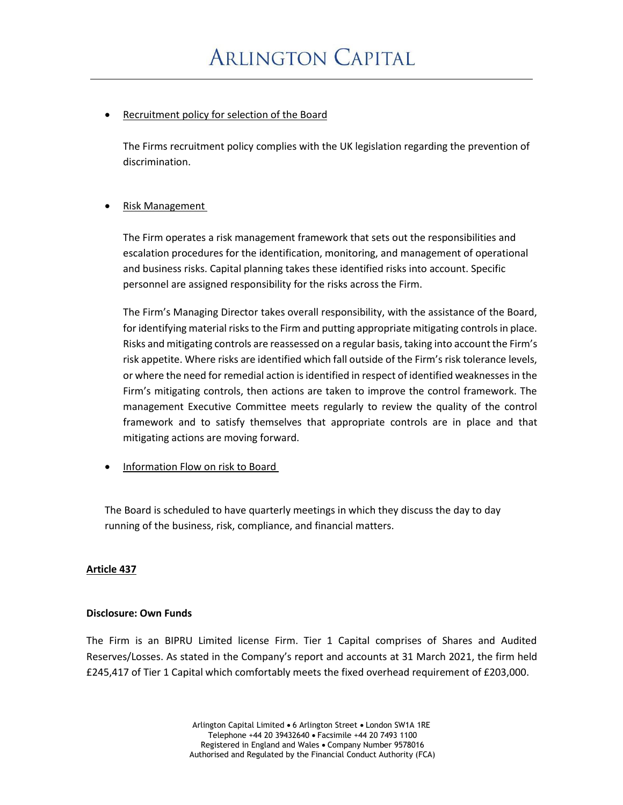# Recruitment policy for selection of the Board

The Firms recruitment policy complies with the UK legislation regarding the prevention of discrimination.

# **Risk Management**

The Firm operates a risk management framework that sets out the responsibilities and escalation procedures for the identification, monitoring, and management of operational and business risks. Capital planning takes these identified risks into account. Specific personnel are assigned responsibility for the risks across the Firm.

The Firm's Managing Director takes overall responsibility, with the assistance of the Board, for identifying material risks to the Firm and putting appropriate mitigating controls in place. Risks and mitigating controls are reassessed on a regular basis, taking into account the Firm's risk appetite. Where risks are identified which fall outside of the Firm's risk tolerance levels, or where the need for remedial action is identified in respect of identified weaknesses in the Firm's mitigating controls, then actions are taken to improve the control framework. The management Executive Committee meets regularly to review the quality of the control framework and to satisfy themselves that appropriate controls are in place and that mitigating actions are moving forward.

• Information Flow on risk to Board

The Board is scheduled to have quarterly meetings in which they discuss the day to day running of the business, risk, compliance, and financial matters.

# **Article 437**

# **Disclosure: Own Funds**

The Firm is an BIPRU Limited license Firm. Tier 1 Capital comprises of Shares and Audited Reserves/Losses. As stated in the Company's report and accounts at 31 March 2021, the firm held £245,417 of Tier 1 Capital which comfortably meets the fixed overhead requirement of £203,000.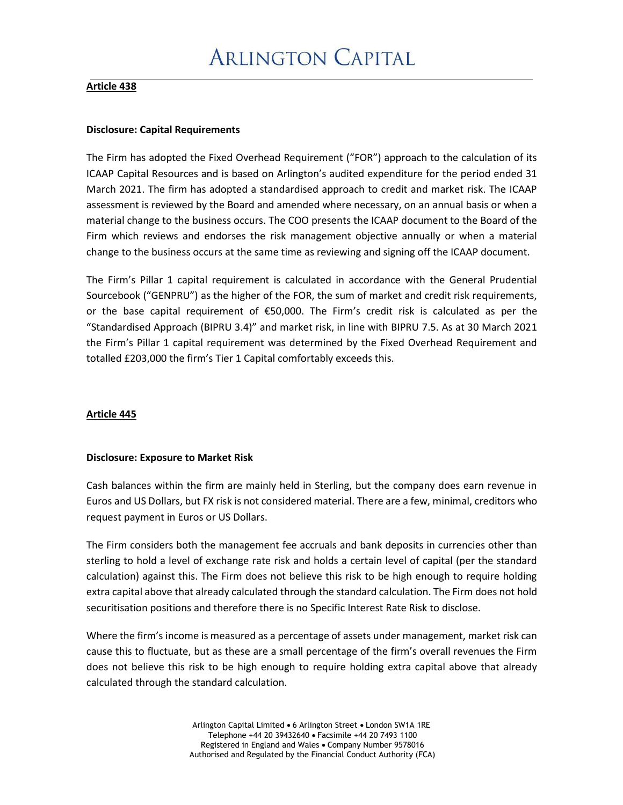### **Article 438**

#### **Disclosure: Capital Requirements**

The Firm has adopted the Fixed Overhead Requirement ("FOR") approach to the calculation of its ICAAP Capital Resources and is based on Arlington's audited expenditure for the period ended 31 March 2021. The firm has adopted a standardised approach to credit and market risk. The ICAAP assessment is reviewed by the Board and amended where necessary, on an annual basis or when a material change to the business occurs. The COO presents the ICAAP document to the Board of the Firm which reviews and endorses the risk management objective annually or when a material change to the business occurs at the same time as reviewing and signing off the ICAAP document.

The Firm's Pillar 1 capital requirement is calculated in accordance with the General Prudential Sourcebook ("GENPRU") as the higher of the FOR, the sum of market and credit risk requirements, or the base capital requirement of €50,000. The Firm's credit risk is calculated as per the "Standardised Approach (BIPRU 3.4)" and market risk, in line with BIPRU 7.5. As at 30 March 2021 the Firm's Pillar 1 capital requirement was determined by the Fixed Overhead Requirement and totalled £203,000 the firm's Tier 1 Capital comfortably exceeds this.

# **Article 445**

#### **Disclosure: Exposure to Market Risk**

Cash balances within the firm are mainly held in Sterling, but the company does earn revenue in Euros and US Dollars, but FX risk is not considered material. There are a few, minimal, creditors who request payment in Euros or US Dollars.

The Firm considers both the management fee accruals and bank deposits in currencies other than sterling to hold a level of exchange rate risk and holds a certain level of capital (per the standard calculation) against this. The Firm does not believe this risk to be high enough to require holding extra capital above that already calculated through the standard calculation. The Firm does not hold securitisation positions and therefore there is no Specific Interest Rate Risk to disclose.

Where the firm's income is measured as a percentage of assets under management, market risk can cause this to fluctuate, but as these are a small percentage of the firm's overall revenues the Firm does not believe this risk to be high enough to require holding extra capital above that already calculated through the standard calculation.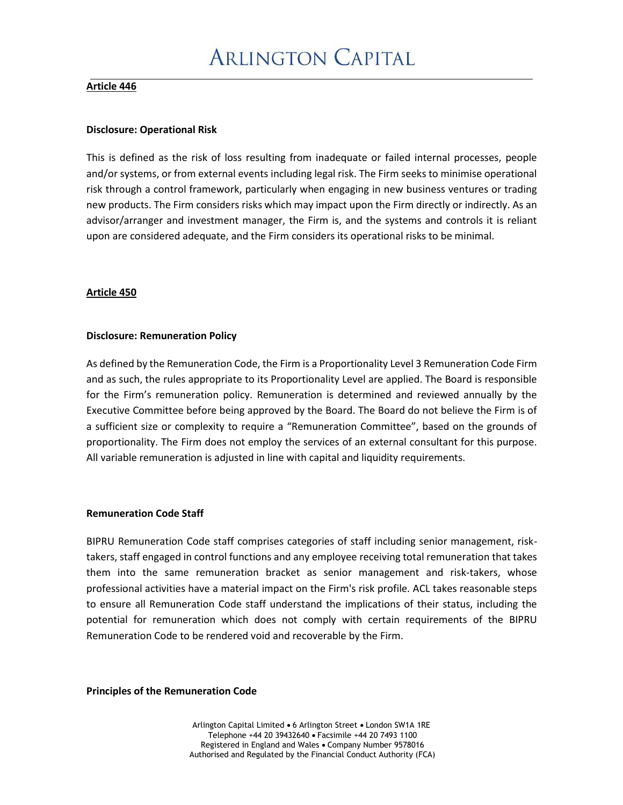#### **Article 446**

#### **Disclosure: Operational Risk**

This is defined as the risk of loss resulting from inadequate or failed internal processes, people and/or systems, or from external events including legal risk. The Firm seeks to minimise operational risk through a control framework, particularly when engaging in new business ventures or trading new products. The Firm considers risks which may impact upon the Firm directly or indirectly. As an advisor/arranger and investment manager, the Firm is, and the systems and controls it is reliant upon are considered adequate, and the Firm considers its operational risks to be minimal.

# **Article 450**

#### **Disclosure: Remuneration Policy**

As defined by the Remuneration Code, the Firm is a Proportionality Level 3 Remuneration Code Firm and as such, the rules appropriate to its Proportionality Level are applied. The Board is responsible for the Firm's remuneration policy. Remuneration is determined and reviewed annually by the Executive Committee before being approved by the Board. The Board do not believe the Firm is of a sufficient size or complexity to require a "Remuneration Committee", based on the grounds of proportionality. The Firm does not employ the services of an external consultant for this purpose. All variable remuneration is adjusted in line with capital and liquidity requirements.

#### **Remuneration Code Staff**

BIPRU Remuneration Code staff comprises categories of staff including senior management, risktakers, staff engaged in control functions and any employee receiving total remuneration that takes them into the same remuneration bracket as senior management and risk-takers, whose professional activities have a material impact on the Firm's risk profile. ACL takes reasonable steps to ensure all Remuneration Code staff understand the implications of their status, including the potential for remuneration which does not comply with certain requirements of the BIPRU Remuneration Code to be rendered void and recoverable by the Firm.

**Principles of the Remuneration Code**

Arlington Capital Limited • 6 Arlington Street • London SW1A 1RE Telephone +44 20 39432640 • Facsimile +44 20 7493 1100 Registered in England and Wales • Company Number 9578016 Authorised and Regulated by the Financial Conduct Authority (FCA)